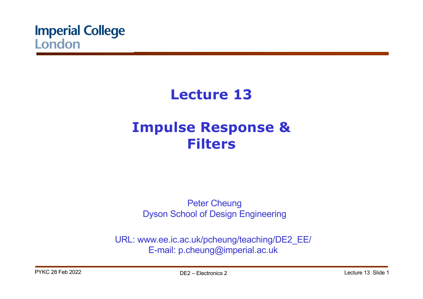

# **Lecture 13 Impulse Response & Filters**

Peter Cheung Dyson School of Design Engineering

URL: www.ee.ic.ac.uk/pcheung/teaching/DE2\_EE/ E-mail: p.cheung@imperial.ac.uk

PYKC 28 Feb 2022 **DE2** – Flectronics 2 Lecture 13 Slide 1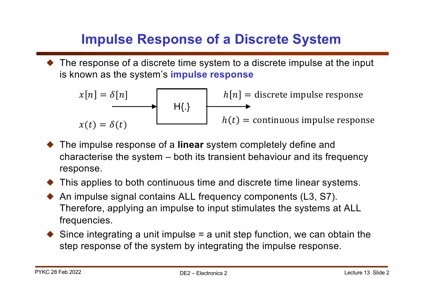# **Impulse Response of a Discrete System**

 $\blacklozenge$  The response of a discrete time system to a discrete impulse at the input is known as the system's **impulse response**

$$
x[n] = \delta[n]
$$
  
\n
$$
h[t]
$$
  
\n
$$
h(t) = \text{continuous impulse response}
$$
  
\n
$$
h(t) = \text{continuous impulse response}
$$

- ! The impulse response of a **linear** system completely define and characterise the system – both its transient behaviour and its frequency response.
- ! This applies to both continuous time and discrete time linear systems.
- ! An impulse signal contains ALL frequency components (L3, S7). Therefore, applying an impulse to input stimulates the systems at ALL frequencies.
- $\blacklozenge$  Since integrating a unit impulse = a unit step function, we can obtain the step response of the system by integrating the impulse response.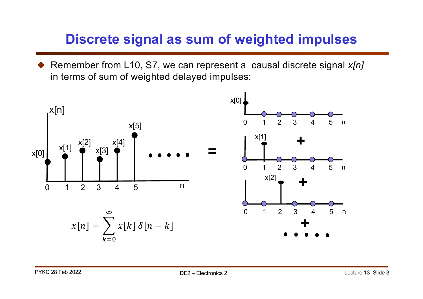## **Discrete signal as sum of weighted impulses**

Remember from L10, S7, we can represent a causal discrete signal *x[n]* in terms of sum of weighted delayed impulses:

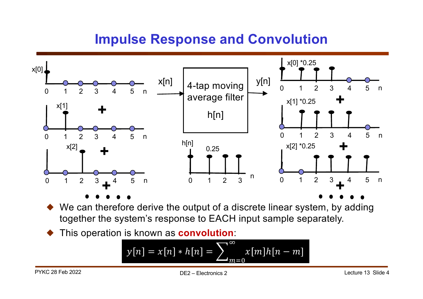## **Impulse Response and Convolution**



We can therefore derive the output of a discrete linear system, by adding together the system's response to EACH input sample separately.

! This operation is known as **convolution**:

$$
y[n] = x[n] * h[n] = \sum_{m=0}^{\infty} x[m]h[n-m]
$$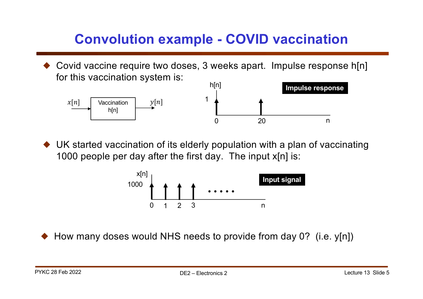## **Convolution example - COVID vaccination**

Covid vaccine require two doses, 3 weeks apart. Impulse response h[n] for this vaccination system is:



 $\blacklozenge$  UK started vaccination of its elderly population with a plan of vaccinating 1000 people per day after the first day. The input x[n] is:



How many doses would NHS needs to provide from day 0? (i.e. y[n])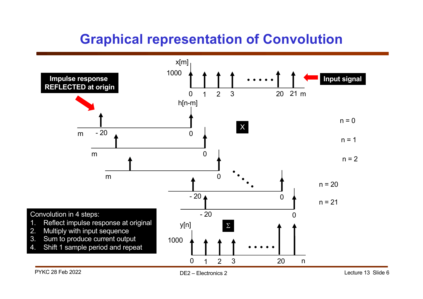## **Graphical representation of Convolution**

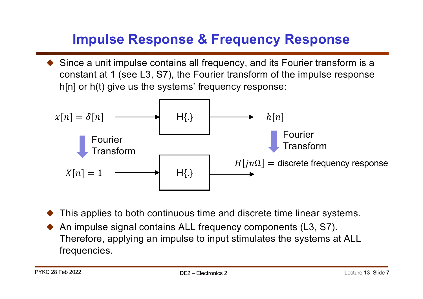# **Impulse Response & Frequency Response**

 $\blacklozenge$  Since a unit impulse contains all frequency, and its Fourier transform is a constant at 1 (see L3, S7), the Fourier transform of the impulse response h[n] or h(t) give us the systems' frequency response:



- This applies to both continuous time and discrete time linear systems.
- ! An impulse signal contains ALL frequency components (L3, S7). Therefore, applying an impulse to input stimulates the systems at ALL frequencies.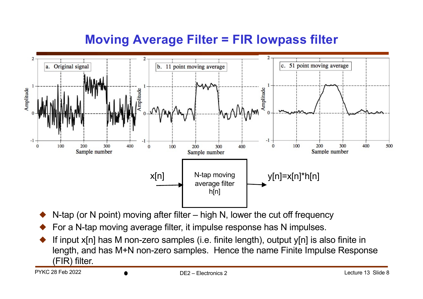#### **Moving Average Filter = FIR lowpass filter**



- N-tap (or N point) moving after filter high N, lower the cut off frequency
- ! For a N-tap moving average filter, it impulse response has N impulses.
- If input  $x[n]$  has M non-zero samples (i.e. finite length), output  $y[n]$  is also finite in length, and has M+N non-zero samples. Hence the name Finite Impulse Response (FIR) filter.

PYKC 28 Feb 2022 DE2 – Electronics 2 Lecture 13 Slide 8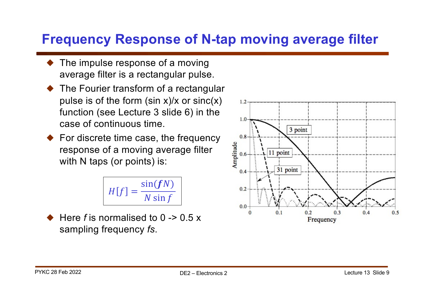## **Frequency Response of N-tap moving average filter**

- The impulse response of a moving average filter is a rectangular pulse.
- ! The Fourier transform of a rectangular pulse is of the form (sin  $x$ )/ $x$  or sinc( $x$ ) function (see Lecture 3 slide 6) in the case of continuous time.
- $\blacklozenge$  For discrete time case, the frequency response of a moving average filter with N taps (or points) is:

$$
H[f] = \frac{\sin(fN)}{N\sin f}
$$

! Here *f* is normalised to 0 -> 0.5 x sampling frequency *fs*.

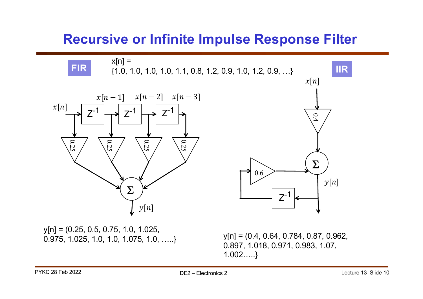#### **Recursive or Infinite Impulse Response Filter**



0.897, 1.018, 0.971, 0.983, 1.07, 1.002…..}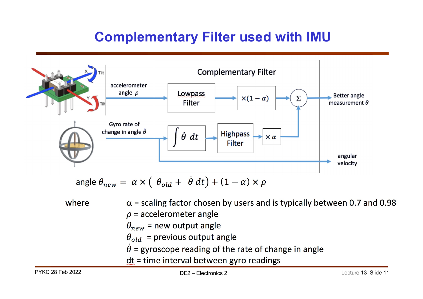## **Complementary Filter used with IMU**



where  $\alpha$  = scaling factor chosen by users and is typically between 0.7 and 0.98  $\rho$  = accelerometer angle  $\theta_{new}$  = new output angle  $\theta_{old}$  = previous output angle  $\theta$  = gyroscope reading of the rate of change in angle  $dt =$  time interval between gyro readings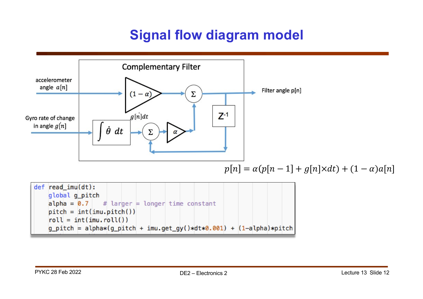## **Signal flow diagram model**

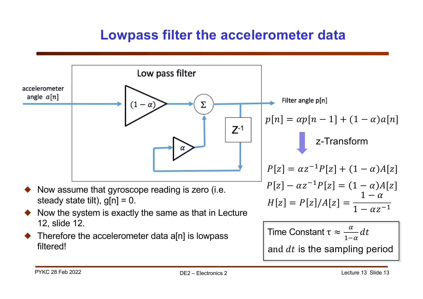#### **Lowpass filter the accelerometer data**

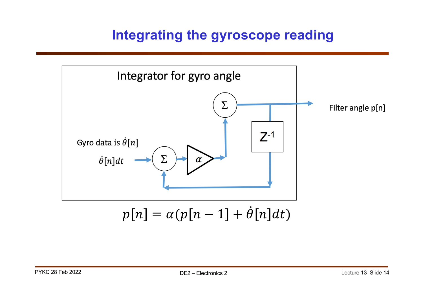### **Integrating the gyroscope reading**

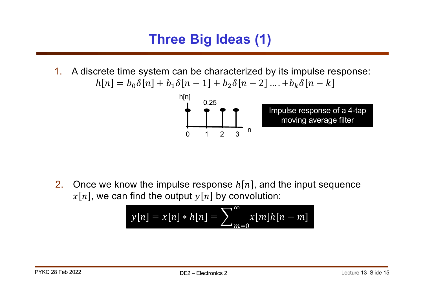## **Three Big Ideas (1)**

1. A discrete time system can be characterized by its impulse response:  $h[n] = b_0 \delta[n] + b_1 \delta[n-1] + b_2 \delta[n-2] \dots + b_k \delta[n-k]$ 



2. Once we know the impulse response  $h[n]$ , and the input sequence  $x[n]$ , we can find the output  $y[n]$  by convolution:

$$
y[n] = x[n] * h[n] = \sum_{m=0}^{\infty} x[m]h[n-m]
$$